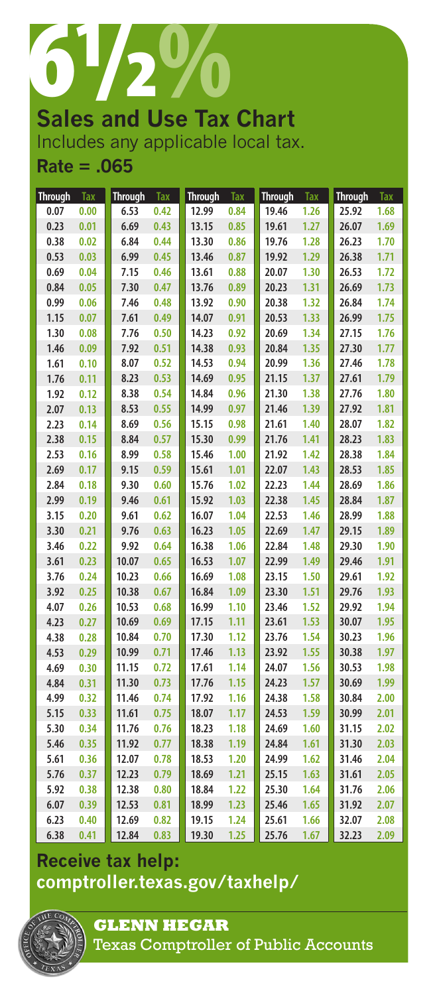

**Sales and Use Tax Chart** Includes any applicable local tax. **Rate = .065**

| <b>Through</b> | Tax  | <b>Through</b> | Tax  | <b>Through</b> | Tax  | <b>Through</b> | Tax  | <b>Through</b> | <b>Tax</b> |
|----------------|------|----------------|------|----------------|------|----------------|------|----------------|------------|
| 0.07           | 0.00 | 6.53           | 0.42 | 12.99          | 0.84 | 19.46          | 1.26 | 25.92          | 1.68       |
| 0.23           | 0.01 | 6.69           | 0.43 | 13.15          | 0.85 | 19.61          | 1.27 | 26.07          | 1.69       |
| 0.38           | 0.02 | 6.84           | 0.44 | 13.30          | 0.86 | 19.76          | 1.28 | 26.23          | 1.70       |
| 0.53           | 0.03 | 6.99           | 0.45 | 13.46          | 0.87 | 19.92          | 1.29 | 26.38          | 1.71       |
| 0.69           | 0.04 | 7.15           | 0.46 | 13.61          | 0.88 | 20.07          | 1.30 | 26.53          | 1.72       |
| 0.84           | 0.05 | 7.30           | 0.47 | 13.76          | 0.89 | 20.23          | 1.31 | 26.69          | 1.73       |
| 0.99           | 0.06 | 7.46           | 0.48 | 13.92          | 0.90 | 20.38          | 1.32 | 26.84          | 1.74       |
| 1.15           | 0.07 | 7.61           | 0.49 | 14.07          | 0.91 | 20.53          | 1.33 | 26.99          | 1.75       |
| 1.30           | 0.08 | 7.76           | 0.50 | 14.23          | 0.92 | 20.69          | 1.34 | 27.15          | 1.76       |
| 1.46           | 0.09 | 7.92           | 0.51 | 14.38          | 0.93 | 20.84          | 1.35 | 27.30          | 1.77       |
| 1.61           | 0.10 | 8.07           | 0.52 | 14.53          | 0.94 | 20.99          | 1.36 | 27.46          | 1.78       |
| 1.76           | 0.11 | 8.23           | 0.53 | 14.69          | 0.95 | 21.15          | 1.37 | 27.61          | 1.79       |
| 1.92           | 0.12 | 8.38           | 0.54 | 14.84          | 0.96 | 21.30          | 1.38 | 27.76          | 1.80       |
| 2.07           | 0.13 | 8.53           | 0.55 | 14.99          | 0.97 | 21.46          | 1.39 | 27.92          | 1.81       |
| 2.23           | 0.14 | 8.69           | 0.56 | 15.15          | 0.98 | 21.61          | 1.40 | 28.07          | 1.82       |
| 2.38           | 0.15 | 8.84           | 0.57 | 15.30          | 0.99 | 21.76          | 1.41 | 28.23          | 1.83       |
| 2.53           | 0.16 | 8.99           | 0.58 | 15.46          | 1.00 | 21.92          | 1.42 | 28.38          | 1.84       |
| 2.69           | 0.17 | 9.15           | 0.59 | 15.61          | 1.01 | 22.07          | 1.43 | 28.53          | 1.85       |
| 2.84           | 0.18 | 9.30           | 0.60 | 15.76          | 1.02 | 22.23          | 1.44 | 28.69          | 1.86       |
| 2.99           | 0.19 | 9.46           | 0.61 | 15.92          | 1.03 | 22.38          | 1.45 | 28.84          | 1.87       |
| 3.15           | 0.20 | 9.61           | 0.62 | 16.07          | 1.04 | 22.53          | 1.46 | 28.99          | 1.88       |
| 3.30           | 0.21 | 9.76           | 0.63 | 16.23          | 1.05 | 22.69          | 1.47 | 29.15          | 1.89       |
| 3.46           | 0.22 | 9.92           | 0.64 | 16.38          | 1.06 | 22.84          | 1.48 | 29.30          | 1.90       |
| 3.61           | 0.23 | 10.07          | 0.65 | 16.53          | 1.07 | 22.99          | 1.49 | 29.46          | 1.91       |
| 3.76           | 0.24 | 10.23          | 0.66 | 16.69          | 1.08 | 23.15          | 1.50 | 29.61          | 1.92       |
| 3.92           | 0.25 | 10.38          | 0.67 | 16.84          | 1.09 | 23.30          | 1.51 | 29.76          | 1.93       |
| 4.07           | 0.26 | 10.53          | 0.68 | 16.99          | 1.10 | 23.46          | 1.52 | 29.92          | 1.94       |
| 4.23           | 0.27 | 10.69          | 0.69 | 17.15          | 1.11 | 23.61          | 1.53 | 30.07          | 1.95       |
| 4.38           | 0.28 | 10.84          | 0.70 | 17.30          | 1.12 | 23.76          | 1.54 | 30.23          | 1.96       |
| 4.53           | 0.29 | 10.99          | 0.71 | 17.46          | 1.13 | 23.92          | 1.55 | 30.38          | 1.97       |
| 4.69           | 0.30 | 11.15          | 0.72 | 17.61          | 1.14 | 24.07          | 1.56 | 30.53          | 1.98       |
| 4.84           | 0.31 | 11.30          | 0.73 | 17.76          | 1.15 | 24.23          | 1.57 | 30.69          | 1.99       |
| 4.99           | 0.32 | 11.46          | 0.74 | 17.92          | 1.16 | 24.38          | 1.58 | 30.84          | 2.00       |
| 5.15           | 0.33 | 11.61          | 0.75 | 18.07          | 1.17 | 24.53          | 1.59 | 30.99          | 2.01       |
| 5.30           | 0.34 | 11.76          | 0.76 | 18.23          | 1.18 | 24.69          | 1.60 | 31.15          | 2.02       |
| 5.46           | 0.35 | 11.92          | 0.77 | 18.38          | 1.19 | 24.84          | 1.61 | 31.30          | 2.03       |
| 5.61           | 0.36 | 12.07          | 0.78 | 18.53          | 1.20 | 24.99          | 1.62 | 31.46          | 2.04       |
| 5.76           | 0.37 | 12.23          | 0.79 | 18.69          | 1.21 | 25.15          | 1.63 | 31.61          | 2.05       |
| 5.92           | 0.38 | 12.38          | 0.80 | 18.84          | 1.22 | 25.30          | 1.64 | 31.76          | 2.06       |
| 6.07           | 0.39 | 12.53          | 0.81 | 18.99          | 1.23 | 25.46          | 1.65 | 31.92          | 2.07       |
| 6.23           | 0.40 | 12.69          | 0.82 | 19.15          | 1.24 | 25.61          | 1.66 | 32.07          | 2.08       |
| 6.38           | 0.41 | 12.84          | 0.83 | 19.30          | 1.25 | 25.76          | 1.67 | 32.23          | 2.09       |

## **Receive tax help: <comptroller.texas.gov/taxhelp/>**



**Glenn HeGar**  Texas Comptroller of Public Accounts